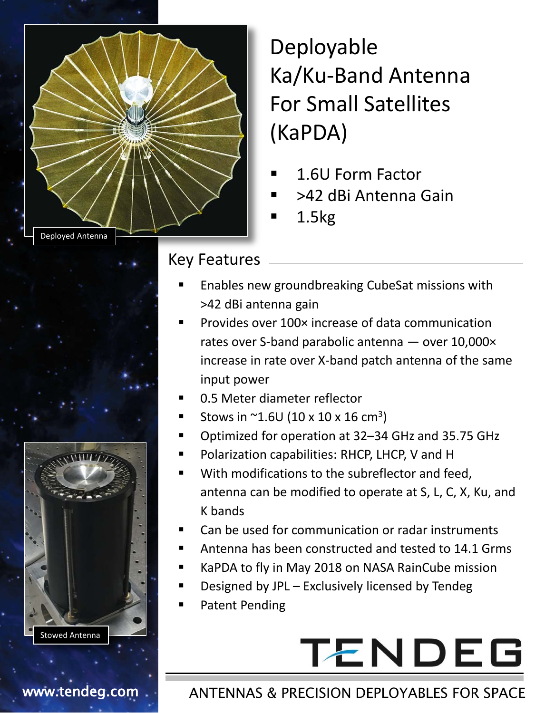

Deployable Ka/Ku-Band Antenna For Small Satellites (KaPDA)

- 1.6U Form Factor
- >42 dBi Antenna Gain
- 1.5kg

#### Key Features

- Enables new groundbreaking CubeSat missions with >42 dBi antenna gain
- Provides over 100× increase of data communication rates over S-band parabolic antenna — over 10,000× increase in rate over X-band patch antenna of the same input power
- 0.5 Meter diameter reflector
- Stows in  $^{\sim}$ 1.6U (10 x 10 x 16 cm<sup>3</sup>)
- Optimized for operation at 32–34 GHz and 35.75 GHz
- Polarization capabilities: RHCP, LHCP, V and H
- With modifications to the subreflector and feed, antenna can be modified to operate at S, L, C, X, Ku, and K bands
- Can be used for communication or radar instruments
- Antenna has been constructed and tested to 14.1 Grms
- KaPDA to fly in May 2018 on NASA RainCube mission
- Designed by JPL Exclusively licensed by Tendeg
- Patent Pending

# **TENDEG**

### www.tendeg.com . ANTENNAS & PRECISION DEPLOYABLES FOR SPACE